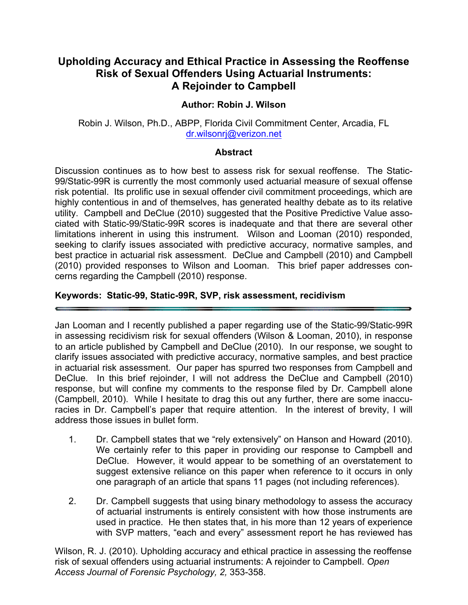## **Upholding Accuracy and Ethical Practice in Assessing the Reoffense Risk of Sexual Offenders Using Actuarial Instruments: A Rejoinder to Campbell**

#### **Author: Robin J. Wilson**

#### Robin J. Wilson, Ph.D., ABPP, Florida Civil Commitment Center, Arcadia, FL dr.wilsonrj@verizon.net

#### **Abstract**

Discussion continues as to how best to assess risk for sexual reoffense. The Static-99/Static-99R is currently the most commonly used actuarial measure of sexual offense risk potential. Its prolific use in sexual offender civil commitment proceedings, which are highly contentious in and of themselves, has generated healthy debate as to its relative utility. Campbell and DeClue (2010) suggested that the Positive Predictive Value associated with Static-99/Static-99R scores is inadequate and that there are several other limitations inherent in using this instrument. Wilson and Looman (2010) responded, seeking to clarify issues associated with predictive accuracy, normative samples, and best practice in actuarial risk assessment. DeClue and Campbell (2010) and Campbell (2010) provided responses to Wilson and Looman. This brief paper addresses concerns regarding the Campbell (2010) response.

#### **Keywords: Static-99, Static-99R, SVP, risk assessment, recidivism**

Jan Looman and I recently published a paper regarding use of the Static-99/Static-99R in assessing recidivism risk for sexual offenders (Wilson & Looman, 2010), in response to an article published by Campbell and DeClue (2010). In our response, we sought to clarify issues associated with predictive accuracy, normative samples, and best practice in actuarial risk assessment. Our paper has spurred two responses from Campbell and DeClue. In this brief rejoinder, I will not address the DeClue and Campbell (2010) response, but will confine my comments to the response filed by Dr. Campbell alone (Campbell, 2010). While I hesitate to drag this out any further, there are some inaccuracies in Dr. Campbell's paper that require attention. In the interest of brevity, I will address those issues in bullet form.

- 1. Dr. Campbell states that we "rely extensively" on Hanson and Howard (2010). We certainly refer to this paper in providing our response to Campbell and DeClue. However, it would appear to be something of an overstatement to suggest extensive reliance on this paper when reference to it occurs in only one paragraph of an article that spans 11 pages (not including references).
- 2. Dr. Campbell suggests that using binary methodology to assess the accuracy of actuarial instruments is entirely consistent with how those instruments are used in practice. He then states that, in his more than 12 years of experience with SVP matters, "each and every" assessment report he has reviewed has

Wilson, R. J. (2010). Upholding accuracy and ethical practice in assessing the reoffense risk of sexual offenders using actuarial instruments: A rejoinder to Campbell. *Open Access Journal of Forensic Psychology, 2,* 353-358.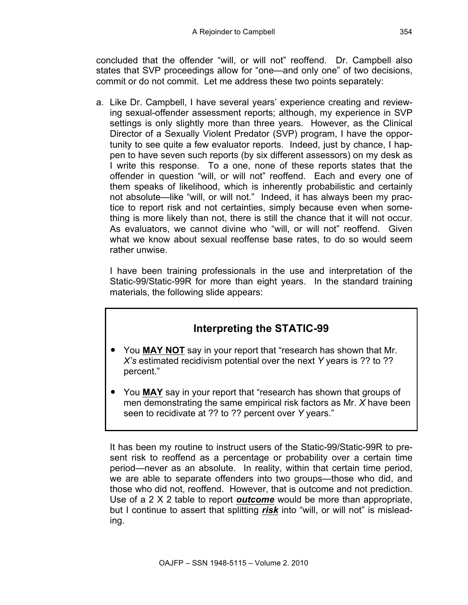concluded that the offender "will, or will not" reoffend. Dr. Campbell also states that SVP proceedings allow for "one—and only one" of two decisions, commit or do not commit. Let me address these two points separately:

a. Like Dr. Campbell, I have several years' experience creating and reviewing sexual-offender assessment reports; although, my experience in SVP settings is only slightly more than three years. However, as the Clinical Director of a Sexually Violent Predator (SVP) program, I have the opportunity to see quite a few evaluator reports. Indeed, just by chance, I happen to have seven such reports (by six different assessors) on my desk as I write this response. To a one, none of these reports states that the offender in question "will, or will not" reoffend. Each and every one of them speaks of likelihood, which is inherently probabilistic and certainly not absolute—like "will, or will not." Indeed, it has always been my practice to report risk and not certainties, simply because even when something is more likely than not, there is still the chance that it will not occur. As evaluators, we cannot divine who "will, or will not" reoffend. Given what we know about sexual reoffense base rates, to do so would seem rather unwise.

I have been training professionals in the use and interpretation of the Static-99/Static-99R for more than eight years. In the standard training materials, the following slide appears:

# **Interpreting the STATIC-99**

- You **MAY NOT** say in your report that "research has shown that Mr. *X's* estimated recidivism potential over the next *Y* years is ?? to ?? percent."
- You **MAY** say in your report that "research has shown that groups of men demonstrating the same empirical risk factors as Mr. *X* have been seen to recidivate at ?? to ?? percent over *Y* years."

It has been my routine to instruct users of the Static-99/Static-99R to present risk to reoffend as a percentage or probability over a certain time period—never as an absolute. In reality, within that certain time period, we are able to separate offenders into two groups—those who did, and those who did not, reoffend. However, that is outcome and not prediction. Use of a 2 X 2 table to report *outcome* would be more than appropriate, but I continue to assert that splitting *risk* into "will, or will not" is misleading.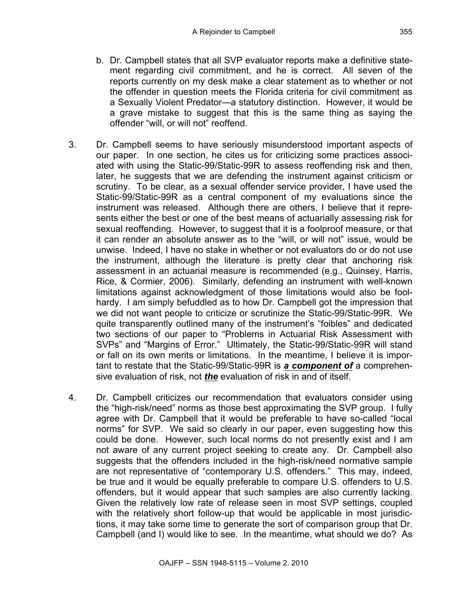- b. Dr. Campbell states that all SVP evaluator reports make a definitive statement regarding civil commitment, and he is correct. All seven of the reports currently on my desk make a clear statement as to whether or not the offender in question meets the Florida criteria for civil commitment as a Sexually Violent Predator—a statutory distinction. However, it would be a grave mistake to suggest that this is the same thing as saying the offender "will, or will not" reoffend.
- 3. Dr. Campbell seems to have seriously misunderstood important aspects of our paper. In one section, he cites us for criticizing some practices associated with using the Static-99/Static-99R to assess reoffending risk and then, later, he suggests that we are defending the instrument against criticism or scrutiny. To be clear, as a sexual offender service provider, I have used the Static-99/Static-99R as a central component of my evaluations since the instrument was released. Although there are others, I believe that it represents either the best or one of the best means of actuarially assessing risk for sexual reoffending. However, to suggest that it is a foolproof measure, or that it can render an absolute answer as to the "will, or will not" issue, would be unwise. Indeed, I have no stake in whether or not evaluators do or do not use the instrument, although the literature is pretty clear that anchoring risk assessment in an actuarial measure is recommended (e.g., Quinsey, Harris, Rice, & Cormier, 2006). Similarly, defending an instrument with well-known limitations against acknowledgment of those limitations would also be foolhardy. I am simply befuddled as to how Dr. Campbell got the impression that we did not want people to criticize or scrutinize the Static-99/Static-99R. We quite transparently outlined many of the instrument's "foibles" and dedicated two sections of our paper to "Problems in Actuarial Risk Assessment with SVPs" and "Margins of Error." Ultimately, the Static-99/Static-99R will stand or fall on its own merits or limitations. In the meantime, I believe it is important to restate that the Static-99/Static-99R is *a component of* a comprehensive evaluation of risk, not *the* evaluation of risk in and of itself.
- 4. Dr. Campbell criticizes our recommendation that evaluators consider using the "high-risk/need" norms as those best approximating the SVP group. I fully agree with Dr. Campbell that it would be preferable to have so-called "local norms" for SVP. We said so clearly in our paper, even suggesting how this could be done. However, such local norms do not presently exist and I am not aware of any current project seeking to create any. Dr. Campbell also suggests that the offenders included in the high-risk/need normative sample are not representative of "contemporary U.S. offenders." This may, indeed, be true and it would be equally preferable to compare U.S. offenders to U.S. offenders, but it would appear that such samples are also currently lacking. Given the relatively low rate of release seen in most SVP settings, coupled with the relatively short follow-up that would be applicable in most jurisdictions, it may take some time to generate the sort of comparison group that Dr. Campbell (and I) would like to see. In the meantime, what should we do? As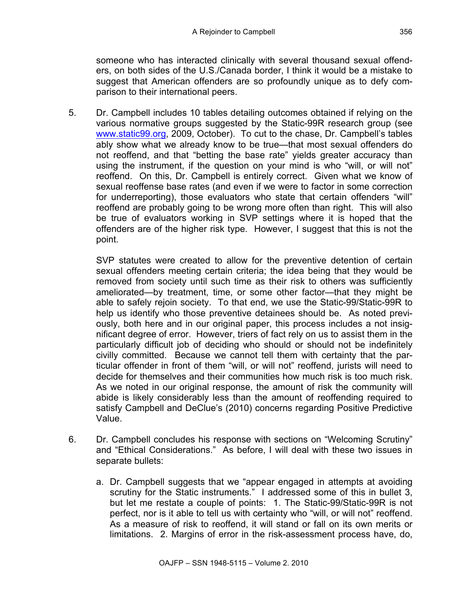someone who has interacted clinically with several thousand sexual offenders, on both sides of the U.S./Canada border, I think it would be a mistake to suggest that American offenders are so profoundly unique as to defy comparison to their international peers.

5. Dr. Campbell includes 10 tables detailing outcomes obtained if relying on the various normative groups suggested by the Static-99R research group (see www.static99.org, 2009, October). To cut to the chase, Dr. Campbell's tables ably show what we already know to be true—that most sexual offenders do not reoffend, and that "betting the base rate" yields greater accuracy than using the instrument, if the question on your mind is who "will, or will not" reoffend. On this, Dr. Campbell is entirely correct. Given what we know of sexual reoffense base rates (and even if we were to factor in some correction for underreporting), those evaluators who state that certain offenders "will" reoffend are probably going to be wrong more often than right. This will also be true of evaluators working in SVP settings where it is hoped that the offenders are of the higher risk type. However, I suggest that this is not the point.

SVP statutes were created to allow for the preventive detention of certain sexual offenders meeting certain criteria; the idea being that they would be removed from society until such time as their risk to others was sufficiently ameliorated—by treatment, time, or some other factor—that they might be able to safely rejoin society. To that end, we use the Static-99/Static-99R to help us identify who those preventive detainees should be. As noted previously, both here and in our original paper, this process includes a not insignificant degree of error. However, triers of fact rely on us to assist them in the particularly difficult job of deciding who should or should not be indefinitely civilly committed. Because we cannot tell them with certainty that the particular offender in front of them "will, or will not" reoffend, jurists will need to decide for themselves and their communities how much risk is too much risk. As we noted in our original response, the amount of risk the community will abide is likely considerably less than the amount of reoffending required to satisfy Campbell and DeClue's (2010) concerns regarding Positive Predictive Value.

- 6. Dr. Campbell concludes his response with sections on "Welcoming Scrutiny" and "Ethical Considerations." As before, I will deal with these two issues in separate bullets:
	- a. Dr. Campbell suggests that we "appear engaged in attempts at avoiding scrutiny for the Static instruments." I addressed some of this in bullet 3, but let me restate a couple of points: 1. The Static-99/Static-99R is not perfect, nor is it able to tell us with certainty who "will, or will not" reoffend. As a measure of risk to reoffend, it will stand or fall on its own merits or limitations. 2. Margins of error in the risk-assessment process have, do,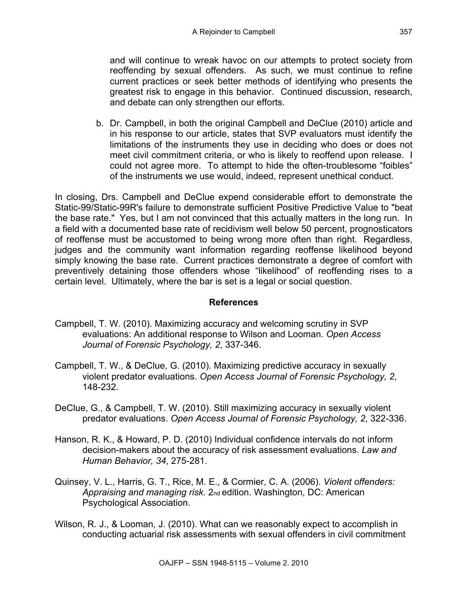and will continue to wreak havoc on our attempts to protect society from reoffending by sexual offenders. As such, we must continue to refine current practices or seek better methods of identifying who presents the greatest risk to engage in this behavior. Continued discussion, research, and debate can only strengthen our efforts.

b. Dr. Campbell, in both the original Campbell and DeClue (2010) article and in his response to our article, states that SVP evaluators must identify the limitations of the instruments they use in deciding who does or does not meet civil commitment criteria, or who is likely to reoffend upon release. I could not agree more. To attempt to hide the often-troublesome "foibles" of the instruments we use would, indeed, represent unethical conduct.

In closing, Drs. Campbell and DeClue expend considerable effort to demonstrate the Static-99/Static-99R's failure to demonstrate sufficient Positive Predictive Value to "beat the base rate." Yes, but I am not convinced that this actually matters in the long run. In a field with a documented base rate of recidivism well below 50 percent, prognosticators of reoffense must be accustomed to being wrong more often than right. Regardless, judges and the community want information regarding reoffense likelihood beyond simply knowing the base rate. Current practices demonstrate a degree of comfort with preventively detaining those offenders whose "likelihood" of reoffending rises to a certain level. Ultimately, where the bar is set is a legal or social question.

### **References**

- Campbell, T. W. (2010). Maximizing accuracy and welcoming scrutiny in SVP evaluations: An additional response to Wilson and Looman. *Open Access Journal of Forensic Psychology, 2*, 337-346.
- Campbell, T. W., & DeClue, G. (2010). Maximizing predictive accuracy in sexually violent predator evaluations. *Open Access Journal of Forensic Psychology, 2*, 148-232.
- DeClue, G., & Campbell, T. W. (2010). Still maximizing accuracy in sexually violent predator evaluations. *Open Access Journal of Forensic Psychology, 2*, 322-336.
- Hanson, R. K., & Howard, P. D. (2010) Individual confidence intervals do not inform decision-makers about the accuracy of risk assessment evaluations. *Law and Human Behavior, 34*, 275-281.
- Quinsey, V. L., Harris, G. T., Rice, M. E., & Cormier, C. A. (2006). *Violent offenders: Appraising and managing risk.* 2nd edition. Washington, DC: American Psychological Association.
- Wilson, R. J., & Looman, J. (2010). What can we reasonably expect to accomplish in conducting actuarial risk assessments with sexual offenders in civil commitment